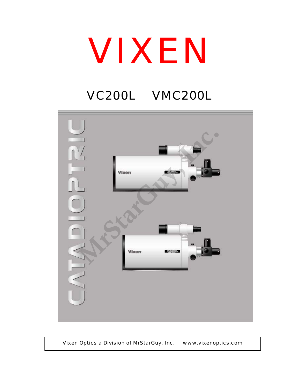## VIXEN

## VC200L VMC200L



Vixen Optics a Division of MrStarGuy, Inc. www.vixenoptics.com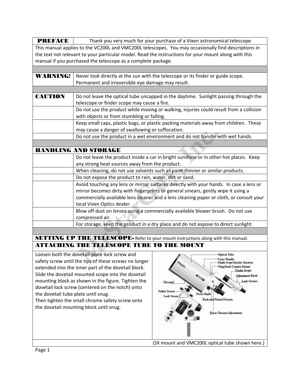| <b>PREFACE</b>                                                                                                | Thank you very much for your purchase of a Vixen astronomical telescope                             |                                 |  |  |  |
|---------------------------------------------------------------------------------------------------------------|-----------------------------------------------------------------------------------------------------|---------------------------------|--|--|--|
|                                                                                                               | This manual applies to the VC200L and VMC200L telescopes. You may occasionally find descriptions in |                                 |  |  |  |
| the text not relevant to your particular model. Read the instructions for your mount along with this          |                                                                                                     |                                 |  |  |  |
| manual if you purchased the telescope as a complete package.                                                  |                                                                                                     |                                 |  |  |  |
|                                                                                                               |                                                                                                     |                                 |  |  |  |
| <b>WARNING!</b>                                                                                               |                                                                                                     |                                 |  |  |  |
|                                                                                                               | Never look directly at the sun with the telescope or its finder or guide scope.                     |                                 |  |  |  |
|                                                                                                               | Permanent and irreversible eye damage may result.                                                   |                                 |  |  |  |
| <b>CAUTION</b>                                                                                                | Do not leave the optical tube uncapped in the daytime. Sunlight passing through the                 |                                 |  |  |  |
|                                                                                                               | telescope or finder scope may cause a fire.                                                         |                                 |  |  |  |
|                                                                                                               | Do not use the product while moving or walking, injuries could result from a collision              |                                 |  |  |  |
|                                                                                                               | with objects or from stumbling or falling.                                                          |                                 |  |  |  |
|                                                                                                               | Keep small caps, plastic bags, or plastic packing materials away from children. These               |                                 |  |  |  |
|                                                                                                               | may cause a danger of swallowing or suffocation.                                                    |                                 |  |  |  |
|                                                                                                               | Do not use the product in a wet environment and do not handle with wet hands.                       |                                 |  |  |  |
|                                                                                                               |                                                                                                     |                                 |  |  |  |
| <b>HANDLING AND STORAGE</b>                                                                                   |                                                                                                     |                                 |  |  |  |
|                                                                                                               | Do not leave the product inside a car in bright sunshine or in other hot places. Keep               |                                 |  |  |  |
|                                                                                                               | any strong heat sources away from the product.                                                      |                                 |  |  |  |
|                                                                                                               | When cleaning, do not use solvents such as paint thinner or similar products.                       |                                 |  |  |  |
|                                                                                                               | Do not expose the product to rain, water, dirt or sand.                                             |                                 |  |  |  |
|                                                                                                               | Avoid touching any lens or mirror surfaces directly with your hands. In case a lens or              |                                 |  |  |  |
|                                                                                                               | mirror becomes dirty with fingerprints or general smears, gently wipe it using a                    |                                 |  |  |  |
|                                                                                                               | commercially available lens cleaner and a lens cleaning paper or cloth, or consult your             |                                 |  |  |  |
|                                                                                                               | local Vixen Optics dealer.                                                                          |                                 |  |  |  |
|                                                                                                               | Blow off dust on lenses using a commercially available blower brush. Do not use                     |                                 |  |  |  |
|                                                                                                               | compressed air.                                                                                     |                                 |  |  |  |
|                                                                                                               | For storage, keep the product in a dry place and do not expose to direct sunlight.                  |                                 |  |  |  |
|                                                                                                               |                                                                                                     |                                 |  |  |  |
| SETTING UP THE TELESCOPE- Refer to your mount instructions along with this manual.                            |                                                                                                     |                                 |  |  |  |
| <b>ATTACHING THE TELESCOPE TUBE TO THE MOUNT</b>                                                              |                                                                                                     |                                 |  |  |  |
|                                                                                                               | Loosen both the dovetail-plate lock screw and                                                       | <b>Optical Tube</b>             |  |  |  |
| Carry Handle<br>safety screw until the tips of these screws no longer<br><b>Finder Scope Bracket Receiver</b> |                                                                                                     |                                 |  |  |  |
| Piggyback Camera Mount<br>extended into the inner part of the dovetail block.                                 |                                                                                                     |                                 |  |  |  |
| <b>Finder Scope</b><br>Slide the dovetail mounted scope into the dovetail<br>Adjustment Knob                  |                                                                                                     |                                 |  |  |  |
| mounting block as shown in the figure. Tighten the<br><b>Lock Screws</b><br>Dovetail                          |                                                                                                     |                                 |  |  |  |
| dovetail lock screw (centered on the notch) onto                                                              |                                                                                                     |                                 |  |  |  |
| Safety Screw<br>the dovetail tube plate until snug.<br><b>Focus Kno</b><br><b>Lock Screw</b>                  |                                                                                                     |                                 |  |  |  |
| <b>Rack and Pinion Focuser</b><br>Then tighten the small chrome safety screw onto                             |                                                                                                     |                                 |  |  |  |
| the dovetail mounting block until snug.                                                                       |                                                                                                     |                                 |  |  |  |
|                                                                                                               |                                                                                                     | <b>Focus Tension Adjustment</b> |  |  |  |
|                                                                                                               |                                                                                                     |                                 |  |  |  |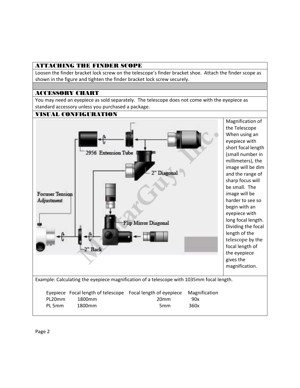## ATTACHING THE FINDER SCOPE

Loosen the finder bracket lock screw on the telescope's finder bracket shoe. Attach the finder scope as shown in the figure and tighten the finder bracket lock screw securely.

## ACCESSORY CHART

You may need an eyepiece as sold separately. The telescope does not come with the eyepiece as standard accessory unless you purchased a package.